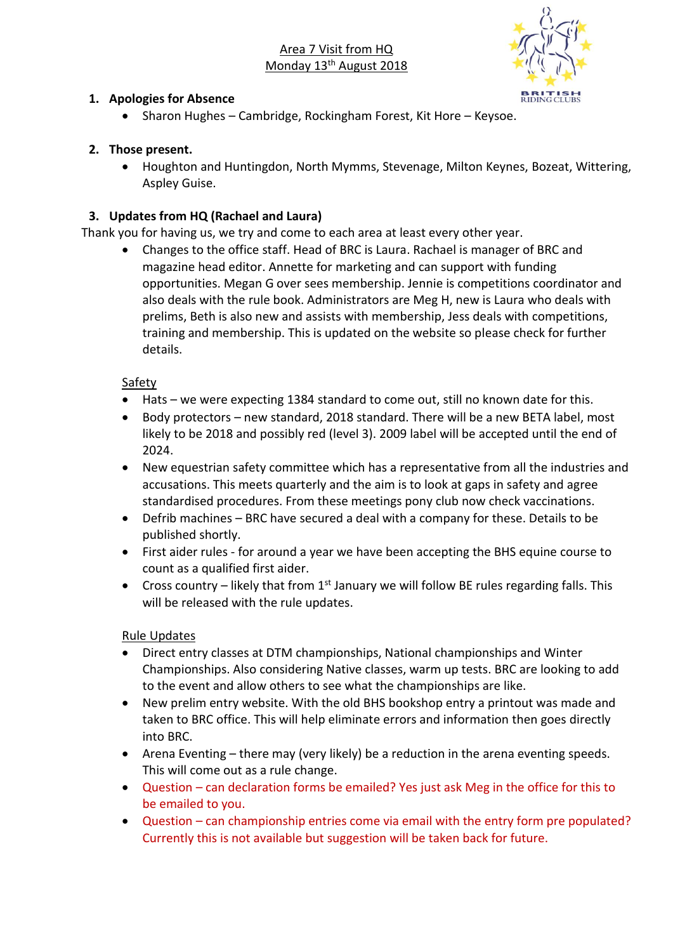Area 7 Visit from HQ Monday 13<sup>th</sup> August 2018



#### **1. Apologies for Absence**

• Sharon Hughes – Cambridge, Rockingham Forest, Kit Hore – Keysoe.

## **2. Those present.**

• Houghton and Huntingdon, North Mymms, Stevenage, Milton Keynes, Bozeat, Wittering, Aspley Guise.

# **3. Updates from HQ (Rachael and Laura)**

Thank you for having us, we try and come to each area at least every other year.

• Changes to the office staff. Head of BRC is Laura. Rachael is manager of BRC and magazine head editor. Annette for marketing and can support with funding opportunities. Megan G over sees membership. Jennie is competitions coordinator and also deals with the rule book. Administrators are Meg H, new is Laura who deals with prelims, Beth is also new and assists with membership, Jess deals with competitions, training and membership. This is updated on the website so please check for further details.

### **Safety**

- Hats we were expecting 1384 standard to come out, still no known date for this.
- Body protectors new standard, 2018 standard. There will be a new BETA label, most likely to be 2018 and possibly red (level 3). 2009 label will be accepted until the end of 2024.
- New equestrian safety committee which has a representative from all the industries and accusations. This meets quarterly and the aim is to look at gaps in safety and agree standardised procedures. From these meetings pony club now check vaccinations.
- Defrib machines BRC have secured a deal with a company for these. Details to be published shortly.
- First aider rules for around a year we have been accepting the BHS equine course to count as a qualified first aider.
- Cross country likely that from  $1<sup>st</sup>$  January we will follow BE rules regarding falls. This will be released with the rule updates.

### Rule Updates

- Direct entry classes at DTM championships, National championships and Winter Championships. Also considering Native classes, warm up tests. BRC are looking to add to the event and allow others to see what the championships are like.
- New prelim entry website. With the old BHS bookshop entry a printout was made and taken to BRC office. This will help eliminate errors and information then goes directly into BRC.
- Arena Eventing there may (very likely) be a reduction in the arena eventing speeds. This will come out as a rule change.
- Question can declaration forms be emailed? Yes just ask Meg in the office for this to be emailed to you.
- Question can championship entries come via email with the entry form pre populated? Currently this is not available but suggestion will be taken back for future.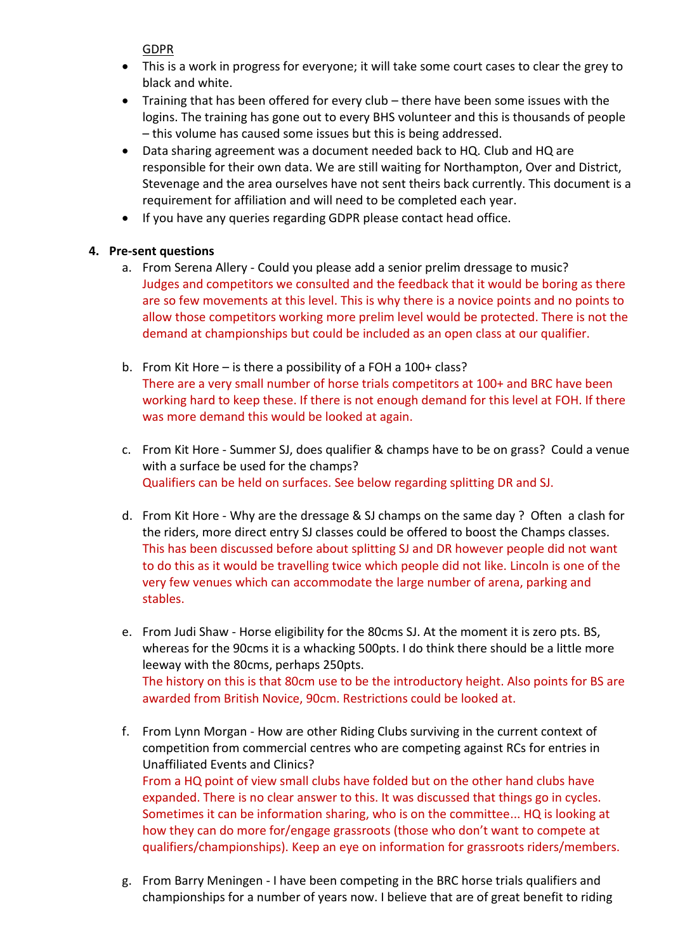GDPR

- This is a work in progress for everyone; it will take some court cases to clear the grey to black and white.
- Training that has been offered for every club there have been some issues with the logins. The training has gone out to every BHS volunteer and this is thousands of people – this volume has caused some issues but this is being addressed.
- Data sharing agreement was a document needed back to HQ. Club and HQ are responsible for their own data. We are still waiting for Northampton, Over and District, Stevenage and the area ourselves have not sent theirs back currently. This document is a requirement for affiliation and will need to be completed each year.
- If you have any queries regarding GDPR please contact head office.

### **4. Pre-sent questions**

- a. From Serena Allery Could you please add a senior prelim dressage to music? Judges and competitors we consulted and the feedback that it would be boring as there are so few movements at this level. This is why there is a novice points and no points to allow those competitors working more prelim level would be protected. There is not the demand at championships but could be included as an open class at our qualifier.
- b. From Kit Hore is there a possibility of a FOH a 100+ class? There are a very small number of horse trials competitors at 100+ and BRC have been working hard to keep these. If there is not enough demand for this level at FOH. If there was more demand this would be looked at again.
- c. From Kit Hore Summer SJ, does qualifier & champs have to be on grass? Could a venue with a surface be used for the champs? Qualifiers can be held on surfaces. See below regarding splitting DR and SJ.
- d. From Kit Hore Why are the dressage & SJ champs on the same day ? Often a clash for the riders, more direct entry SJ classes could be offered to boost the Champs classes. This has been discussed before about splitting SJ and DR however people did not want to do this as it would be travelling twice which people did not like. Lincoln is one of the very few venues which can accommodate the large number of arena, parking and stables.
- e. From Judi Shaw Horse eligibility for the 80cms SJ. At the moment it is zero pts. BS, whereas for the 90cms it is a whacking 500pts. I do think there should be a little more leeway with the 80cms, perhaps 250pts. The history on this is that 80cm use to be the introductory height. Also points for BS are awarded from British Novice, 90cm. Restrictions could be looked at.
- f. From Lynn Morgan How are other Riding Clubs surviving in the current context of competition from commercial centres who are competing against RCs for entries in Unaffiliated Events and Clinics? From a HQ point of view small clubs have folded but on the other hand clubs have expanded. There is no clear answer to this. It was discussed that things go in cycles. Sometimes it can be information sharing, who is on the committee... HQ is looking at how they can do more for/engage grassroots (those who don't want to compete at qualifiers/championships). Keep an eye on information for grassroots riders/members.
- g. From Barry Meningen I have been competing in the BRC horse trials qualifiers and championships for a number of years now. I believe that are of great benefit to riding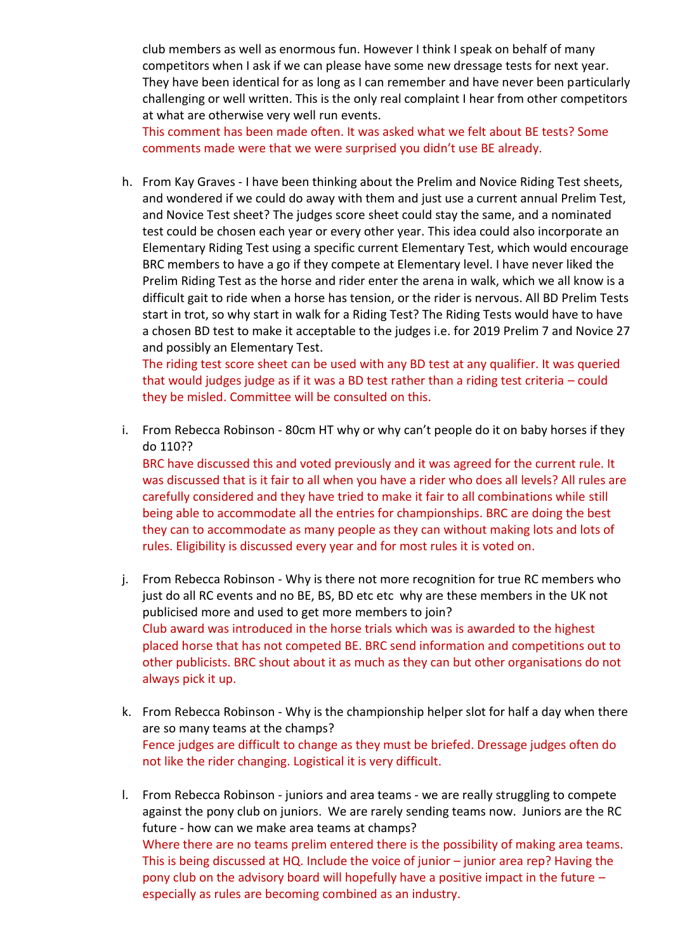club members as well as enormous fun. However I think I speak on behalf of many competitors when I ask if we can please have some new dressage tests for next year. They have been identical for as long as I can remember and have never been particularly challenging or well written. This is the only real complaint I hear from other competitors at what are otherwise very well run events.

This comment has been made often. It was asked what we felt about BE tests? Some comments made were that we were surprised you didn't use BE already.

h. From Kay Graves - I have been thinking about the Prelim and Novice Riding Test sheets, and wondered if we could do away with them and just use a current annual Prelim Test, and Novice Test sheet? The judges score sheet could stay the same, and a nominated test could be chosen each year or every other year. This idea could also incorporate an Elementary Riding Test using a specific current Elementary Test, which would encourage BRC members to have a go if they compete at Elementary level. I have never liked the Prelim Riding Test as the horse and rider enter the arena in walk, which we all know is a difficult gait to ride when a horse has tension, or the rider is nervous. All BD Prelim Tests start in trot, so why start in walk for a Riding Test? The Riding Tests would have to have a chosen BD test to make it acceptable to the judges i.e. for 2019 Prelim 7 and Novice 27 and possibly an Elementary Test.

The riding test score sheet can be used with any BD test at any qualifier. It was queried that would judges judge as if it was a BD test rather than a riding test criteria – could they be misled. Committee will be consulted on this.

i. From Rebecca Robinson - 80cm HT why or why can't people do it on baby horses if they do 110??

BRC have discussed this and voted previously and it was agreed for the current rule. It was discussed that is it fair to all when you have a rider who does all levels? All rules are carefully considered and they have tried to make it fair to all combinations while still being able to accommodate all the entries for championships. BRC are doing the best they can to accommodate as many people as they can without making lots and lots of rules. Eligibility is discussed every year and for most rules it is voted on.

- j. From Rebecca Robinson Why is there not more recognition for true RC members who just do all RC events and no BE, BS, BD etc etc why are these members in the UK not publicised more and used to get more members to join? Club award was introduced in the horse trials which was is awarded to the highest placed horse that has not competed BE. BRC send information and competitions out to other publicists. BRC shout about it as much as they can but other organisations do not always pick it up.
- k. From Rebecca Robinson Why is the championship helper slot for half a day when there are so many teams at the champs? Fence judges are difficult to change as they must be briefed. Dressage judges often do not like the rider changing. Logistical it is very difficult.
- l. From Rebecca Robinson juniors and area teams we are really struggling to compete against the pony club on juniors. We are rarely sending teams now. Juniors are the RC future - how can we make area teams at champs? Where there are no teams prelim entered there is the possibility of making area teams. This is being discussed at HQ. Include the voice of junior – junior area rep? Having the pony club on the advisory board will hopefully have a positive impact in the future – especially as rules are becoming combined as an industry.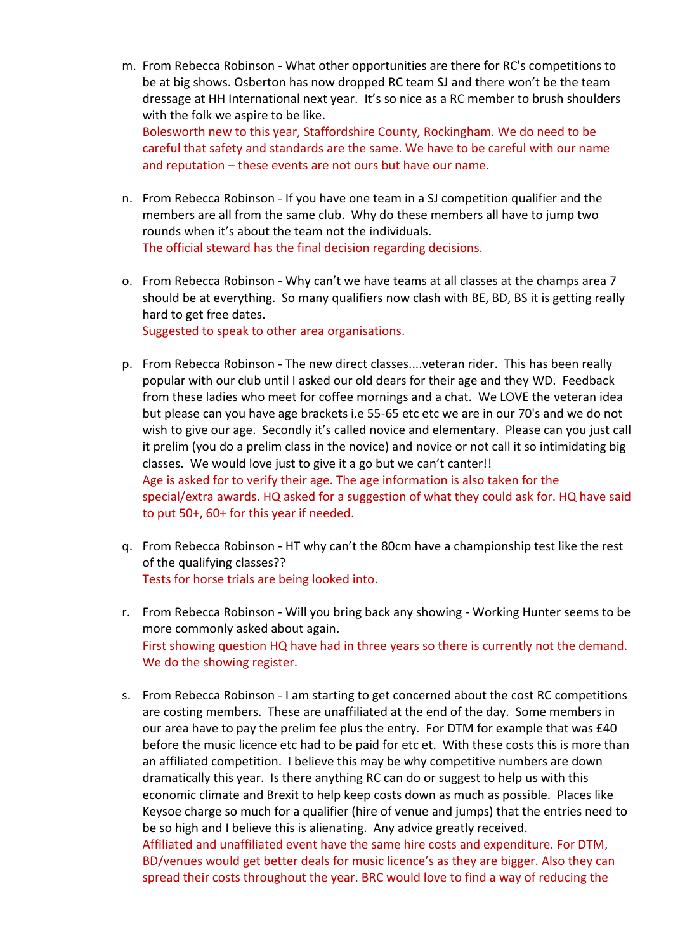- m. From Rebecca Robinson What other opportunities are there for RC's competitions to be at big shows. Osberton has now dropped RC team SJ and there won't be the team dressage at HH International next year. It's so nice as a RC member to brush shoulders with the folk we aspire to be like. Bolesworth new to this year, Staffordshire County, Rockingham. We do need to be careful that safety and standards are the same. We have to be careful with our name and reputation – these events are not ours but have our name.
- n. From Rebecca Robinson If you have one team in a SJ competition qualifier and the members are all from the same club. Why do these members all have to jump two rounds when it's about the team not the individuals. The official steward has the final decision regarding decisions.
- o. From Rebecca Robinson Why can't we have teams at all classes at the champs area 7 should be at everything. So many qualifiers now clash with BE, BD, BS it is getting really hard to get free dates. Suggested to speak to other area organisations.
- p. From Rebecca Robinson The new direct classes....veteran rider. This has been really popular with our club until I asked our old dears for their age and they WD. Feedback from these ladies who meet for coffee mornings and a chat. We LOVE the veteran idea but please can you have age brackets i.e 55-65 etc etc we are in our 70's and we do not wish to give our age. Secondly it's called novice and elementary. Please can you just call it prelim (you do a prelim class in the novice) and novice or not call it so intimidating big classes. We would love just to give it a go but we can't canter!! Age is asked for to verify their age. The age information is also taken for the special/extra awards. HQ asked for a suggestion of what they could ask for. HQ have said to put 50+, 60+ for this year if needed.
- q. From Rebecca Robinson HT why can't the 80cm have a championship test like the rest of the qualifying classes?? Tests for horse trials are being looked into.
- r. From Rebecca Robinson Will you bring back any showing Working Hunter seems to be more commonly asked about again. First showing question HQ have had in three years so there is currently not the demand. We do the showing register.
- s. From Rebecca Robinson I am starting to get concerned about the cost RC competitions are costing members. These are unaffiliated at the end of the day. Some members in our area have to pay the prelim fee plus the entry. For DTM for example that was £40 before the music licence etc had to be paid for etc et. With these costs this is more than an affiliated competition. I believe this may be why competitive numbers are down dramatically this year. Is there anything RC can do or suggest to help us with this economic climate and Brexit to help keep costs down as much as possible. Places like Keysoe charge so much for a qualifier (hire of venue and jumps) that the entries need to be so high and I believe this is alienating. Any advice greatly received. Affiliated and unaffiliated event have the same hire costs and expenditure. For DTM, BD/venues would get better deals for music licence's as they are bigger. Also they can spread their costs throughout the year. BRC would love to find a way of reducing the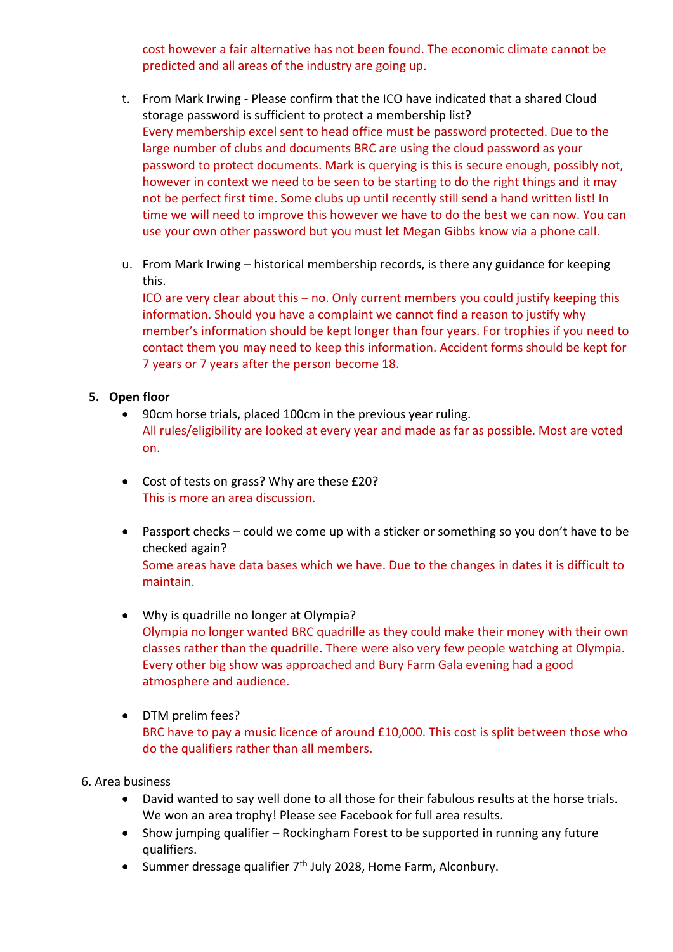cost however a fair alternative has not been found. The economic climate cannot be predicted and all areas of the industry are going up.

- t. From Mark Irwing Please confirm that the ICO have indicated that a shared Cloud storage password is sufficient to protect a membership list? Every membership excel sent to head office must be password protected. Due to the large number of clubs and documents BRC are using the cloud password as your password to protect documents. Mark is querying is this is secure enough, possibly not, however in context we need to be seen to be starting to do the right things and it may not be perfect first time. Some clubs up until recently still send a hand written list! In time we will need to improve this however we have to do the best we can now. You can use your own other password but you must let Megan Gibbs know via a phone call.
- u. From Mark Irwing historical membership records, is there any guidance for keeping this.

ICO are very clear about this – no. Only current members you could justify keeping this information. Should you have a complaint we cannot find a reason to justify why member's information should be kept longer than four years. For trophies if you need to contact them you may need to keep this information. Accident forms should be kept for 7 years or 7 years after the person become 18.

#### **5. Open floor**

- 90cm horse trials, placed 100cm in the previous year ruling. All rules/eligibility are looked at every year and made as far as possible. Most are voted on.
- Cost of tests on grass? Why are these £20? This is more an area discussion.
- Passport checks could we come up with a sticker or something so you don't have to be checked again? Some areas have data bases which we have. Due to the changes in dates it is difficult to maintain.
- Why is quadrille no longer at Olympia? Olympia no longer wanted BRC quadrille as they could make their money with their own classes rather than the quadrille. There were also very few people watching at Olympia. Every other big show was approached and Bury Farm Gala evening had a good atmosphere and audience.
- DTM prelim fees? BRC have to pay a music licence of around £10,000. This cost is split between those who do the qualifiers rather than all members.

#### 6. Area business

- David wanted to say well done to all those for their fabulous results at the horse trials. We won an area trophy! Please see Facebook for full area results.
- Show jumping qualifier Rockingham Forest to be supported in running any future qualifiers.
- Summer dressage qualifier  $7<sup>th</sup>$  July 2028, Home Farm, Alconbury.